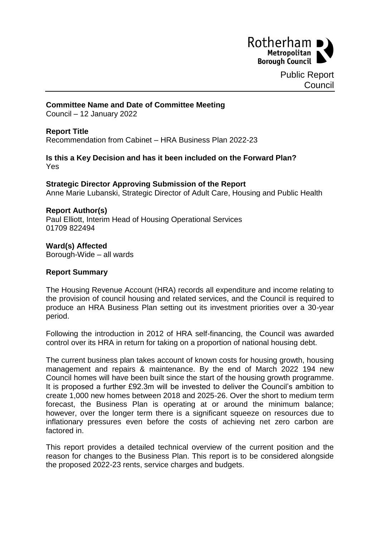

Public Report **Council** 

### **Committee Name and Date of Committee Meeting**

Council – 12 January 2022

### **Report Title**

Recommendation from Cabinet – HRA Business Plan 2022-23

### **Is this a Key Decision and has it been included on the Forward Plan?** Yes

### **Strategic Director Approving Submission of the Report** Anne Marie Lubanski, Strategic Director of Adult Care, Housing and Public Health

#### **Report Author(s)**

Paul Elliott, Interim Head of Housing Operational Services 01709 822494

# **Ward(s) Affected**

Borough-Wide – all wards

### **Report Summary**

The Housing Revenue Account (HRA) records all expenditure and income relating to the provision of council housing and related services, and the Council is required to produce an HRA Business Plan setting out its investment priorities over a 30-year period.

Following the introduction in 2012 of HRA self-financing, the Council was awarded control over its HRA in return for taking on a proportion of national housing debt.

The current business plan takes account of known costs for housing growth, housing management and repairs & maintenance. By the end of March 2022 194 new Council homes will have been built since the start of the housing growth programme. It is proposed a further £92.3m will be invested to deliver the Council's ambition to create 1,000 new homes between 2018 and 2025-26. Over the short to medium term forecast, the Business Plan is operating at or around the minimum balance; however, over the longer term there is a significant squeeze on resources due to inflationary pressures even before the costs of achieving net zero carbon are factored in.

This report provides a detailed technical overview of the current position and the reason for changes to the Business Plan. This report is to be considered alongside the proposed 2022-23 rents, service charges and budgets.